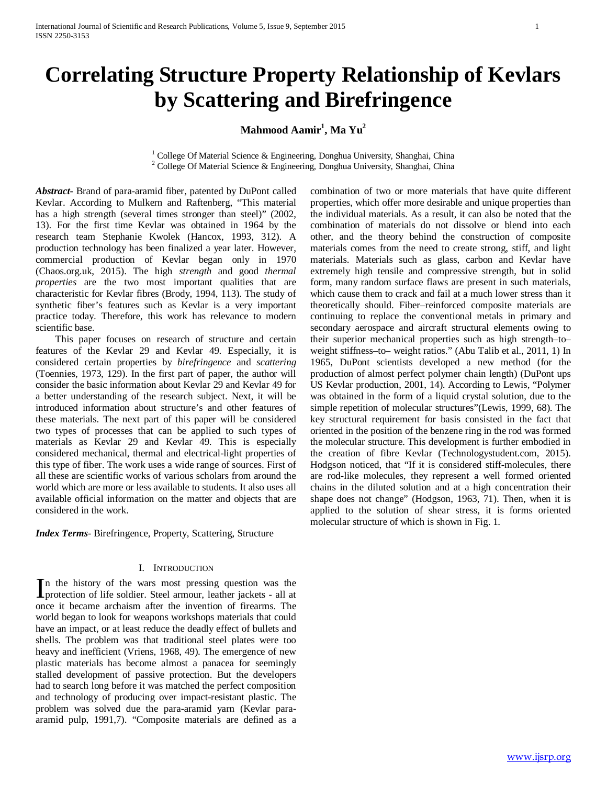# **Correlating Structure Property Relationship of Kevlars by Scattering and Birefringence**

 $\mathbf{Mahmood}\ \mathbf{Aamir}^{1},\mathbf{Ma}\ \mathbf{Yu}^{2}$ 

<sup>1</sup> College Of Material Science & Engineering, Donghua University, Shanghai, China <sup>2</sup> College Of Material Science & Engineering, Donghua University, Shanghai, China

*Abstract***-** Brand of para-aramid fiber, patented by DuPont called Kevlar. According to Mulkern and Raftenberg, "This material has a high strength (several times stronger than steel)" (2002, 13). For the first time Kevlar was obtained in 1964 by the research team Stephanie Kwolek (Hancox, 1993, 312). A production technology has been finalized a year later. However, commercial production of Kevlar began only in 1970 (Chaos.org.uk, 2015). The high *strength* and good *thermal properties* are the two most important qualities that are characteristic for Kevlar fibres (Brody, 1994, 113). The study of synthetic fiber's features such as Kevlar is a very important practice today. Therefore, this work has relevance to modern scientific base.

 This paper focuses on research of structure and certain features of the Kevlar 29 and Kevlar 49. Especially, it is considered certain properties by *birefringence* and *scattering*  (Toennies, 1973, 129). In the first part of paper, the author will consider the basic information about Kevlar 29 and Kevlar 49 for a better understanding of the research subject. Next, it will be introduced information about structure's and other features of these materials. The next part of this paper will be considered two types of processes that can be applied to such types of materials as Kevlar 29 and Kevlar 49. This is especially considered mechanical, thermal and electrical-light properties of this type of fiber. The work uses a wide range of sources. First of all these are scientific works of various scholars from around the world which are more or less available to students. It also uses all available official information on the matter and objects that are considered in the work.

*Index Terms*- Birefringence, Property, Scattering, Structure

#### I. INTRODUCTION

n the history of the wars most pressing question was the In the history of the wars most pressing question was the protection of life soldier. Steel armour, leather jackets - all at once it became archaism after the invention of firearms. The world began to look for weapons workshops materials that could have an impact, or at least reduce the deadly effect of bullets and shells. The problem was that traditional steel plates were too heavy and inefficient (Vriens, 1968, 49). The emergence of new plastic materials has become almost a panacea for seemingly stalled development of passive protection. But the developers had to search long before it was matched the perfect composition and technology of producing over impact-resistant plastic. The problem was solved due the para-aramid yarn (Kevlar paraaramid pulp, 1991,7). "Composite materials are defined as a

combination of two or more materials that have quite different properties, which offer more desirable and unique properties than the individual materials. As a result, it can also be noted that the combination of materials do not dissolve or blend into each other, and the theory behind the construction of composite materials comes from the need to create strong, stiff, and light materials. Materials such as glass, carbon and Kevlar have extremely high tensile and compressive strength, but in solid form, many random surface flaws are present in such materials, which cause them to crack and fail at a much lower stress than it theoretically should. Fiber–reinforced composite materials are continuing to replace the conventional metals in primary and secondary aerospace and aircraft structural elements owing to their superior mechanical properties such as high strength–to– weight stiffness–to– weight ratios." (Abu Talib et al., 2011, 1) In 1965, DuPont scientists developed a new method (for the production of almost perfect polymer chain length) (DuPont ups US Kevlar production, 2001, 14). According to Lewis, "Polymer was obtained in the form of a liquid crystal solution, due to the simple repetition of molecular structures"(Lewis, 1999, 68). The key structural requirement for basis consisted in the fact that oriented in the position of the benzene ring in the rod was formed the molecular structure. This development is further embodied in the creation of fibre Kevlar (Technologystudent.com, 2015). Hodgson noticed, that "If it is considered stiff-molecules, there are rod-like molecules, they represent a well formed oriented chains in the diluted solution and at a high concentration their shape does not change" (Hodgson, 1963, 71). Then, when it is applied to the solution of shear stress, it is forms oriented molecular structure of which is shown in Fig. 1.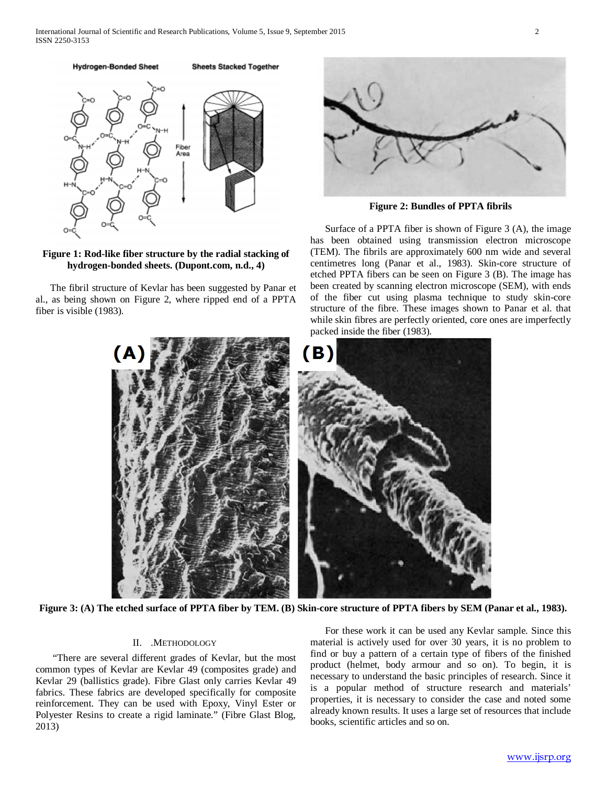

## **Figure 1: Rod-like fiber structure by the radial stacking of hydrogen-bonded sheets. (Dupont.com, n.d., 4)**

 The fibril structure of Kevlar has been suggested by Panar et al., as being shown on Figure 2, where ripped end of a PPTA fiber is visible (1983).



**Figure 2: Bundles of PPTA fibrils**

 Surface of a PPTA fiber is shown of Figure 3 (A), the image has been obtained using transmission electron microscope (TEM). The fibrils are approximately 600 nm wide and several centimetres long (Panar et al., 1983). Skin-core structure of etched PPTA fibers can be seen on Figure 3 (B). The image has been created by scanning electron microscope (SEM), with ends of the fiber cut using plasma technique to study skin-core structure of the fibre. These images shown to Panar et al. that while skin fibres are perfectly oriented, core ones are imperfectly packed inside the fiber (1983).



**Figure 3: (A) The etched surface of PPTA fiber by TEM. (B) Skin-core structure of PPTA fibers by SEM (Panar et al., 1983).**

### II. .METHODOLOGY

 "There are several different grades of Kevlar, but the most common types of Kevlar are Kevlar 49 (composites grade) and Kevlar 29 (ballistics grade). Fibre Glast only carries Kevlar 49 fabrics. These fabrics are developed specifically for composite reinforcement. They can be used with Epoxy, Vinyl Ester or Polyester Resins to create a rigid laminate." (Fibre Glast Blog, 2013)

 For these work it can be used any Kevlar sample. Since this material is actively used for over 30 years, it is no problem to find or buy a pattern of a certain type of fibers of the finished product (helmet, body armour and so on). To begin, it is necessary to understand the basic principles of research. Since it is a popular method of structure research and materials' properties, it is necessary to consider the case and noted some already known results. It uses a large set of resources that include books, scientific articles and so on.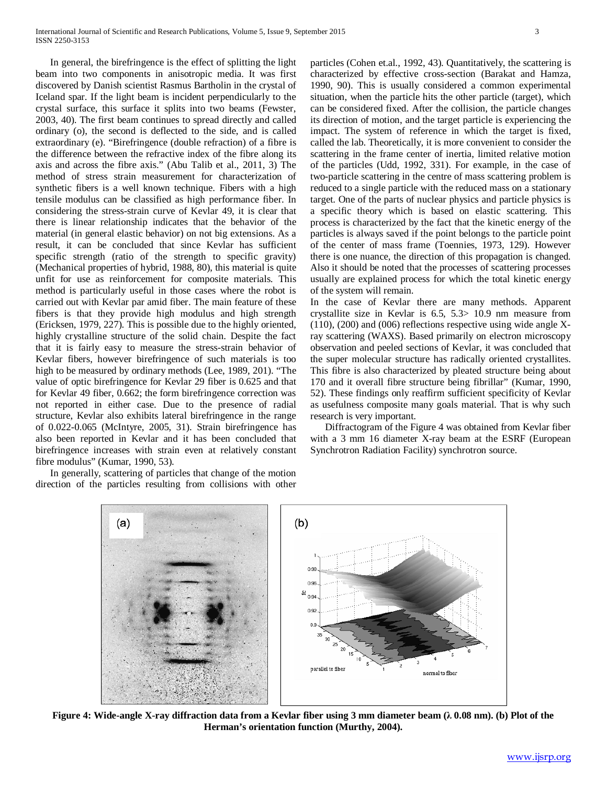In general, the birefringence is the effect of splitting the light beam into two components in anisotropic media. It was first discovered by Danish scientist Rasmus Bartholin in the crystal of Iceland spar. If the light beam is incident perpendicularly to the crystal surface, this surface it splits into two beams (Fewster, 2003, 40). The first beam continues to spread directly and called ordinary (o), the second is deflected to the side, and is called extraordinary (e). "Birefringence (double refraction) of a fibre is the difference between the refractive index of the fibre along its axis and across the fibre axis." (Abu Talib et al., 2011, 3) The method of stress strain measurement for characterization of synthetic fibers is a well known technique. Fibers with a high tensile modulus can be classified as high performance fiber. In considering the stress-strain curve of Kevlar 49, it is clear that there is linear relationship indicates that the behavior of the material (in general elastic behavior) on not big extensions. As a result, it can be concluded that since Kevlar has sufficient specific strength (ratio of the strength to specific gravity) (Mechanical properties of hybrid, 1988, 80), this material is quite unfit for use as reinforcement for composite materials. This method is particularly useful in those cases where the robot is carried out with Kevlar par amid fiber. The main feature of these fibers is that they provide high modulus and high strength (Ericksen, 1979, 227). This is possible due to the highly oriented, highly crystalline structure of the solid chain. Despite the fact that it is fairly easy to measure the stress-strain behavior of Kevlar fibers, however birefringence of such materials is too high to be measured by ordinary methods (Lee, 1989, 201). "The value of optic birefringence for Kevlar 29 fiber is 0.625 and that for Kevlar 49 fiber, 0.662; the form birefringence correction was not reported in either case. Due to the presence of radial structure, Kevlar also exhibits lateral birefringence in the range of 0.022-0.065 (McIntyre, 2005, 31). Strain birefringence has also been reported in Kevlar and it has been concluded that birefringence increases with strain even at relatively constant fibre modulus" (Kumar, 1990, 53).

 In generally, scattering of particles that change of the motion direction of the particles resulting from collisions with other particles (Cohen et.al., 1992, 43). Quantitatively, the scattering is characterized by effective cross-section (Barakat and Hamza, 1990, 90). This is usually considered a common experimental situation, when the particle hits the other particle (target), which can be considered fixed. After the collision, the particle changes its direction of motion, and the target particle is experiencing the impact. The system of reference in which the target is fixed, called the lab. Theoretically, it is more convenient to consider the scattering in the frame center of inertia, limited relative motion of the particles (Udd, 1992, 331). For example, in the case of two-particle scattering in the centre of mass scattering problem is reduced to a single particle with the reduced mass on a stationary target. One of the parts of nuclear physics and particle physics is a specific theory which is based on elastic scattering. This process is characterized by the fact that the kinetic energy of the particles is always saved if the point belongs to the particle point of the center of mass frame (Toennies, 1973, 129). However there is one nuance, the direction of this propagation is changed. Also it should be noted that the processes of scattering processes usually are explained process for which the total kinetic energy of the system will remain.

In the case of Kevlar there are many methods. Apparent crystallite size in Kevlar is 6.5, 5.3> 10.9 nm measure from (110), (200) and (006) reflections respective using wide angle Xray scattering (WAXS). Based primarily on electron microscopy observation and peeled sections of Kevlar, it was concluded that the super molecular structure has radically oriented crystallites. This fibre is also characterized by pleated structure being about 170 and it overall fibre structure being fibrillar" (Kumar, 1990, 52). These findings only reaffirm sufficient specificity of Kevlar as usefulness composite many goals material. That is why such research is very important.

 Diffractogram of the Figure 4 was obtained from Kevlar fiber with a 3 mm 16 diameter X-ray beam at the ESRF (European Synchrotron Radiation Facility) synchrotron source.



**Figure 4: Wide-angle X-ray diffraction data from a Kevlar fiber using 3 mm diameter beam (λ 0.08 nm). (b) Plot of the Herman's orientation function (Murthy, 2004).**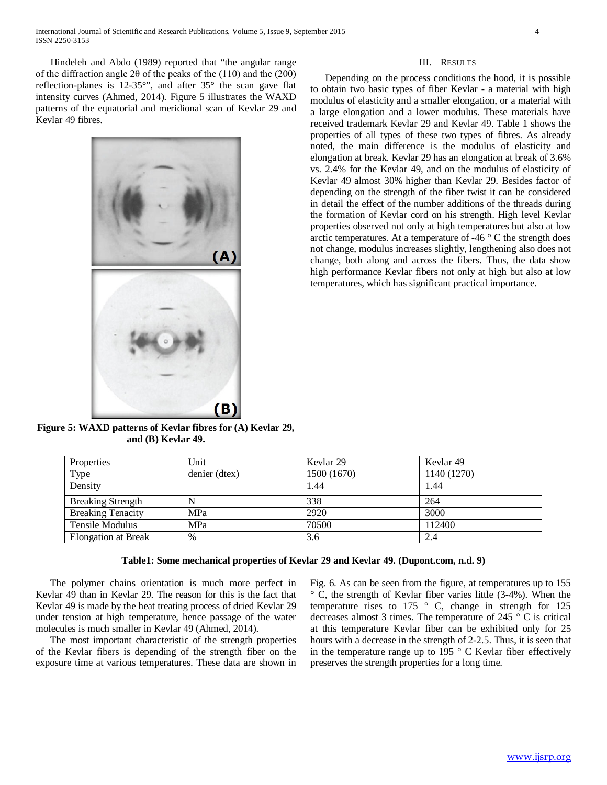Hindeleh and Abdo (1989) reported that "the angular range of the diffraction angle 2θ of the peaks of the (110) and the (200) reflection-planes is 12-35°", and after 35° the scan gave flat intensity curves (Ahmed, 2014). Figure 5 illustrates the WAXD patterns of the equatorial and meridional scan of Kevlar 29 and Kevlar 49 fibres.



III. RESULTS

 Depending on the process conditions the hood, it is possible to obtain two basic types of fiber Kevlar - a material with high modulus of elasticity and a smaller elongation, or a material with a large elongation and a lower modulus. These materials have received trademark Kevlar 29 and Kevlar 49. Table 1 shows the properties of all types of these two types of fibres. As already noted, the main difference is the modulus of elasticity and elongation at break. Kevlar 29 has an elongation at break of 3.6% vs. 2.4% for the Kevlar 49, and on the modulus of elasticity of Kevlar 49 almost 30% higher than Kevlar 29. Besides factor of depending on the strength of the fiber twist it can be considered in detail the effect of the number additions of the threads during the formation of Kevlar cord on his strength. High level Kevlar properties observed not only at high temperatures but also at low arctic temperatures. At a temperature of  $-46\degree$  C the strength does not change, modulus increases slightly, lengthening also does not change, both along and across the fibers. Thus, the data show high performance Kevlar fibers not only at high but also at low temperatures, which has significant practical importance.

**Figure 5: WAXD patterns of Kevlar fibres for (A) Kevlar 29, and (B) Kevlar 49.**

| Properties                 | Unit          | Kevlar <sub>29</sub> | Kevlar 49   |
|----------------------------|---------------|----------------------|-------------|
| Type                       | denier (dtex) | 1500 (1670)          | 1140 (1270) |
| Density                    |               | 1.44                 | 1.44        |
| <b>Breaking Strength</b>   |               | 338                  | 264         |
| <b>Breaking Tenacity</b>   | <b>MPa</b>    | 2920                 | 3000        |
| Tensile Modulus            | <b>MPa</b>    | 70500                | 112400      |
| <b>Elongation at Break</b> | $\%$          | 3.6                  | 2.4         |

### **Table1: Some mechanical properties of Kevlar 29 and Kevlar 49. (Dupont.com, n.d. 9)**

 The polymer chains orientation is much more perfect in Kevlar 49 than in Kevlar 29. The reason for this is the fact that Kevlar 49 is made by the heat treating process of dried Kevlar 29 under tension at high temperature, hence passage of the water molecules is much smaller in Kevlar 49 (Ahmed, 2014).

 The most important characteristic of the strength properties of the Kevlar fibers is depending of the strength fiber on the exposure time at various temperatures. These data are shown in

Fig. 6. As can be seen from the figure, at temperatures up to 155 ° C, the strength of Kevlar fiber varies little (3-4%). When the temperature rises to 175 ° C, change in strength for 125 decreases almost 3 times. The temperature of 245 ° C is critical at this temperature Kevlar fiber can be exhibited only for 25 hours with a decrease in the strength of 2-2.5. Thus, it is seen that in the temperature range up to 195 $\degree$  C Kevlar fiber effectively preserves the strength properties for a long time.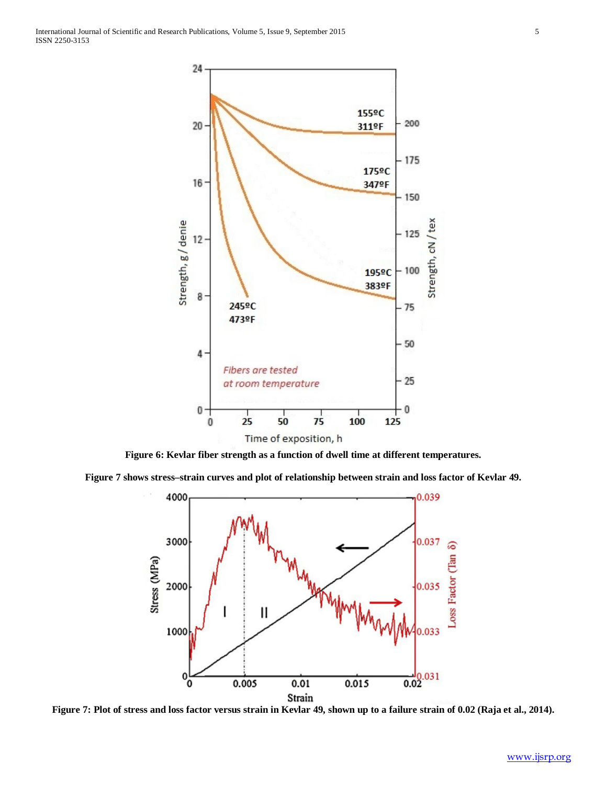

**Figure 6: Kevlar fiber strength as a function of dwell time at different temperatures.**

**Figure 7 shows stress–strain curves and plot of relationship between strain and loss factor of Kevlar 49.**



**Figure 7: Plot of stress and loss factor versus strain in Kevlar 49, shown up to a failure strain of 0.02 (Raja et al., 2014).**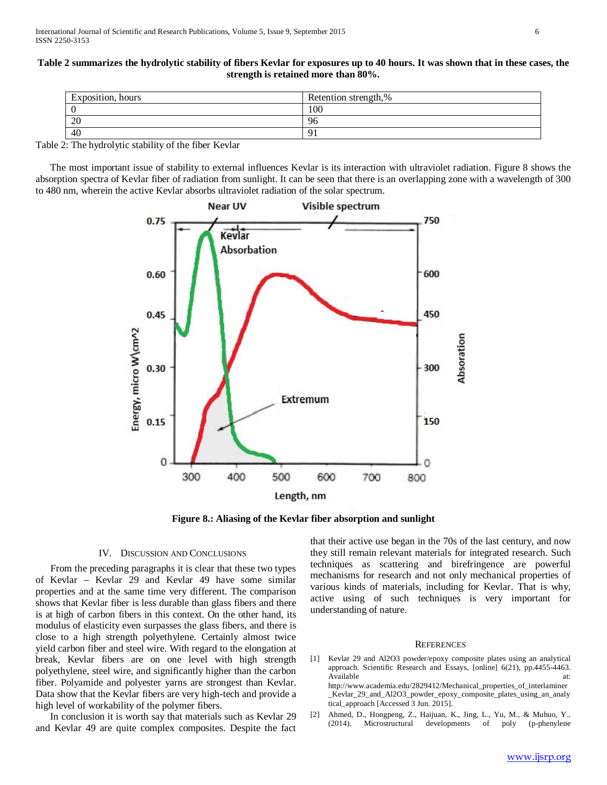#### **Table 2 summarizes the hydrolytic stability of fibers Kevlar for exposures up to 40 hours. It was shown that in these cases, the strength is retained more than 80%.**

| Exposition, hours | Retention strength,% |
|-------------------|----------------------|
|                   | 100                  |
| 20                | 96                   |
| 40                | u                    |

Table 2: The hydrolytic stability of the fiber Kevlar

 The most important issue of stability to external influences Kevlar is its interaction with ultraviolet radiation. Figure 8 shows the absorption spectra of Kevlar fiber of radiation from sunlight. It can be seen that there is an overlapping zone with a wavelength of 300 to 480 nm, wherein the active Kevlar absorbs ultraviolet radiation of the solar spectrum.



**Figure 8.: Aliasing of the Kevlar fiber absorption and sunlight**

#### IV. DISCUSSION AND CONCLUSIONS

 From the preceding paragraphs it is clear that these two types of Kevlar – Kevlar 29 and Kevlar 49 have some similar properties and at the same time very different. The comparison shows that Kevlar fiber is less durable than glass fibers and there is at high of carbon fibers in this context. On the other hand, its modulus of elasticity even surpasses the glass fibers, and there is close to a high strength polyethylene. Certainly almost twice yield carbon fiber and steel wire. With regard to the elongation at break, Kevlar fibers are on one level with high strength polyethylene, steel wire, and significantly higher than the carbon fiber. Polyamide and polyester yarns are strongest than Kevlar. Data show that the Kevlar fibers are very high-tech and provide a high level of workability of the polymer fibers.

 In conclusion it is worth say that materials such as Kevlar 29 and Kevlar 49 are quite complex composites. Despite the fact

that their active use began in the 70s of the last century, and now they still remain relevant materials for integrated research. Such techniques as scattering and birefringence are powerful mechanisms for research and not only mechanical properties of various kinds of materials, including for Kevlar. That is why, active using of such techniques is very important for understanding of nature.

#### **REFERENCES**

- [1] Kevlar 29 and Al2O3 powder/epoxy composite plates using an analytical approach. Scientific Research and Essays, [online] 6(21), pp.4455-4463. Available at: http://www.academia.edu/2829412/Mechanical\_properties\_of\_interlaminer \_Kevlar\_29\_and\_Al2O3\_powder\_epoxy\_composite\_plates\_using\_an\_analy tical\_approach [Accessed 3 Jun. 2015].
- [2] Ahmed, D., Hongpeng, Z., Haijuan, K., Jing, L., Yu, M., & Muhuo, Y.. (2014). Microstructural developments of poly (p-phenylene